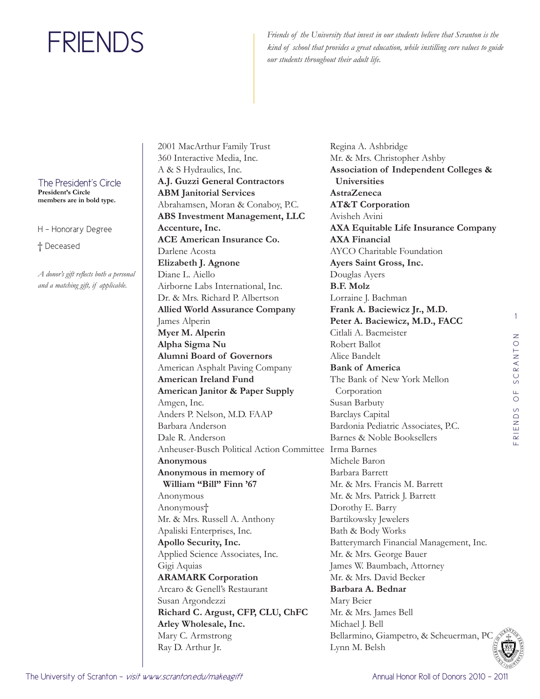Friends of the University that invest in our students believe that Scranton is the *kind of school that provides a great education, while instilling core values to guide our students throughout their adult life.*

The President's Circle **President's Circle** 

**members are in bold type.**

H - Honorary Degree

† Deceased

*A donor's gift reflects both a personal and a matching gift, if applicable.* 

2001 MacArthur Family Trust 360 Interactive Media, Inc. A & S Hydraulics, Inc. **A.J. Guzzi General Contractors ABM Janitorial Services**  Abrahamsen, Moran & Conaboy, P.C. **ABS Investment Management, LLC Accenture, Inc. ACE American Insurance Co.**  Darlene Acosta **Elizabeth J. Agnone**  Diane L. Aiello Airborne Labs International, Inc. Dr. & Mrs. Richard P. Albertson **Allied World Assurance Company**  James Alperin **Myer M. Alperin Alpha Sigma Nu Alumni Board of Governors**  American Asphalt Paving Company **American Ireland Fund American Janitor & Paper Supply**  Amgen, Inc. Anders P. Nelson, M.D. FAAP Barbara Anderson Dale R. Anderson Anheuser-Busch Political Action Committee Irma Barnes **Anonymous Anonymous in memory of William "Bill" Finn '67** Anonymous Anonymous† Mr. & Mrs. Russell A. Anthony Apaliski Enterprises, Inc. **Apollo Security, Inc.**  Applied Science Associates, Inc. Gigi Aquias **ARAMARK Corporation**  Arcaro & Genell's Restaurant Susan Argondezzi **Richard C. Argust, CFP, CLU, ChFC Arley Wholesale, Inc.**  Mary C. Armstrong Ray D. Arthur Jr.

Regina A. Ashbridge Mr. & Mrs. Christopher Ashby **Association of Independent Colleges & Universities AstraZeneca AT&T Corporation**  Avisheh Avini **AXA Equitable Life Insurance Company AXA Financial**  AYCO Charitable Foundation **Ayers Saint Gross, Inc.**  Douglas Ayers **B.F. Molz**  Lorraine J. Bachman **Frank A. Baciewicz Jr., M.D. Peter A. Baciewicz, M.D., FACC**  Citlali A. Bacmeister Robert Ballot Alice Bandelt **Bank of America**  The Bank of New York Mellon Corporation Susan Barbuty Barclays Capital Bardonia Pediatric Associates, P.C. Barnes & Noble Booksellers Michele Baron Barbara Barrett Mr. & Mrs. Francis M. Barrett Mr. & Mrs. Patrick J. Barrett Dorothy E. Barry Bartikowsky Jewelers Bath & Body Works Batterymarch Financial Management, Inc. Mr. & Mrs. George Bauer James W. Baumbach, Attorney Mr. & Mrs. David Becker **Barbara A. Bednar**  Mary Beier Mr. & Mrs. James Bell Michael J. Bell Bellarmino, Giampetro, & Scheuerman, PC Lynn M. Belsh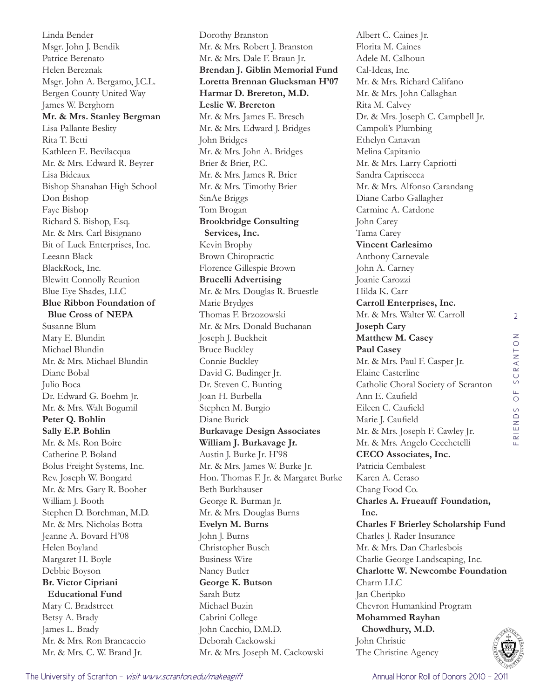Linda Bender Msgr. John J. Bendik Patrice Berenato Helen Bereznak Msgr. John A. Bergamo, J.C.L. Bergen County United Way James W. Berghorn **Mr. & Mrs. Stanley Bergman**  Lisa Pallante Beslity Rita T. Betti Kathleen E. Bevilacqua Mr. & Mrs. Edward R. Beyrer Lisa Bideaux Bishop Shanahan High School Don Bishop Faye Bishop Richard S. Bishop, Esq. Mr. & Mrs. Carl Bisignano Bit of Luck Enterprises, Inc. Leeann Black BlackRock, Inc. Blewitt Connolly Reunion Blue Eye Shades, LLC **Blue Ribbon Foundation of Blue Cross of NEPA**  Susanne Blum Mary E. Blundin Michael Blundin Mr. & Mrs. Michael Blundin Diane Bobal Julio Boca Dr. Edward G. Boehm Jr. Mr. & Mrs. Walt Bogumil **Peter Q. Bohlin Sally E.P. Bohlin**  Mr. & Ms. Ron Boire Catherine P. Boland Bolus Freight Systems, Inc. Rev. Joseph W. Bongard Mr. & Mrs. Gary R. Booher William J. Booth Stephen D. Borchman, M.D. Mr. & Mrs. Nicholas Botta Jeanne A. Bovard H'08 Helen Boyland Margaret H. Boyle Debbie Boyson **Br. Victor Cipriani Educational Fund**  Mary C. Bradstreet Betsy A. Brady James L. Brady Mr. & Mrs. Ron Brancaccio Mr. & Mrs. C. W. Brand Jr.

Dorothy Branston Mr. & Mrs. Robert J. Branston Mr. & Mrs. Dale F. Braun Jr. **Brendan J. Giblin Memorial Fund Loretta Brennan Glucksman H'07 Harmar D. Brereton, M.D. Leslie W. Brereton**  Mr. & Mrs. James E. Bresch Mr. & Mrs. Edward J. Bridges John Bridges Mr. & Mrs. John A. Bridges Brier & Brier, P.C. Mr. & Mrs. James R. Brier Mr. & Mrs. Timothy Brier SinAe Briggs Tom Brogan **Brookbridge Consulting Services, Inc.**  Kevin Brophy Brown Chiropractic Florence Gillespie Brown **Brucelli Advertising**  Mr. & Mrs. Douglas R. Bruestle Marie Brydges Thomas F. Brzozowski Mr. & Mrs. Donald Buchanan Joseph J. Buckheit Bruce Buckley Connie Buckley David G. Budinger Jr. Dr. Steven C. Bunting Joan H. Burbella Stephen M. Burgio Diane Burick **Burkavage Design Associates William J. Burkavage Jr.**  Austin J. Burke Jr. H'98 Mr. & Mrs. James W. Burke Jr. Hon. Thomas F. Jr. & Margaret Burke Beth Burkhauser George R. Burman Jr. Mr. & Mrs. Douglas Burns **Evelyn M. Burns**  John J. Burns Christopher Busch Business Wire Nancy Butler **George K. Butson**  Sarah Butz Michael Buzin Cabrini College John Cacchio, D.M.D. Deborah Cackowski Mr. & Mrs. Joseph M. Cackowski

Albert C. Caines Jr. Florita M. Caines Adele M. Calhoun Cal-Ideas, Inc. Mr. & Mrs. Richard Califano Mr. & Mrs. John Callaghan Rita M. Calvey Dr. & Mrs. Joseph C. Campbell Jr. Campoli's Plumbing Ethelyn Canavan Melina Capitanio Mr. & Mrs. Larry Capriotti Sandra Caprisecca Mr. & Mrs. Alfonso Carandang Diane Carbo Gallagher Carmine A. Cardone John Carey Tama Carey **Vincent Carlesimo**  Anthony Carnevale John A. Carney Joanie Carozzi Hilda K. Carr **Carroll Enterprises, Inc.**  Mr. & Mrs. Walter W. Carroll **Joseph Cary Matthew M. Casey Paul Casey**  Mr. & Mrs. Paul F. Casper Jr. Elaine Casterline Catholic Choral Society of Scranton Ann E. Caufield Eileen C. Caufield Marie J. Caufield Mr. & Mrs. Joseph F. Cawley Jr. Mr. & Mrs. Angelo Cecchetelli **CECO Associates, Inc.**  Patricia Cembalest Karen A. Ceraso Chang Food Co. **Charles A. Frueauff Foundation, Inc. Charles F Brierley Scholarship Fund**  Charles J. Rader Insurance Mr. & Mrs. Dan Charlesbois Charlie George Landscaping, Inc. **Charlotte W. Newcombe Foundation**  Charm LLC Jan Cheripko Chevron Humankind Program **Mohammed Rayhan Chowdhury, M.D.**  John Christie The Christine Agency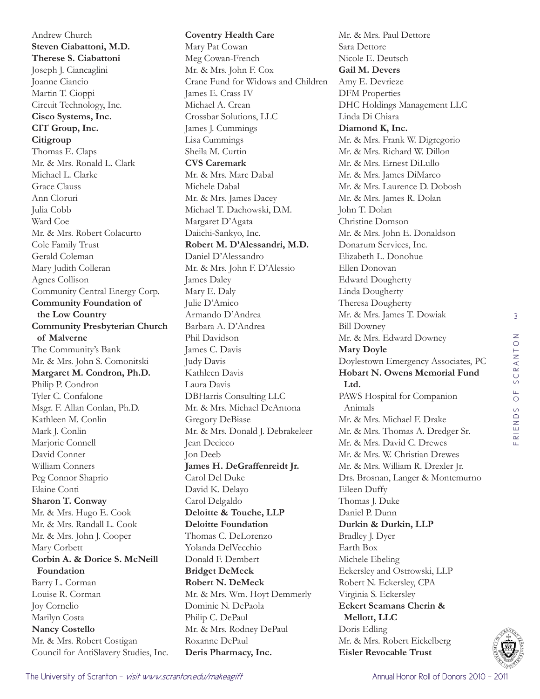Andrew Church **Steven Ciabattoni, M.D. Therese S. Ciabattoni**  Joseph J. Ciancaglini Joanne Ciancio Martin T. Cioppi Circuit Technology, Inc. **Cisco Systems, Inc. CIT Group, Inc. Citigroup**  Thomas E. Claps Mr. & Mrs. Ronald L. Clark Michael L. Clarke Grace Clauss Ann Cloruri Julia Cobb Ward Coe Mr. & Mrs. Robert Colacurto Cole Family Trust Gerald Coleman Mary Judith Colleran Agnes Collison Community Central Energy Corp. **Community Foundation of the Low Country Community Presbyterian Church of Malverne**  The Community's Bank Mr. & Mrs. John S. Comonitski **Margaret M. Condron, Ph.D.**  Philip P. Condron Tyler C. Confalone Msgr. F. Allan Conlan, Ph.D. Kathleen M. Conlin Mark J. Conlin Marjorie Connell David Conner William Conners Peg Connor Shaprio Elaine Conti **Sharon T. Conway**  Mr. & Mrs. Hugo E. Cook Mr. & Mrs. Randall L. Cook Mr. & Mrs. John J. Cooper Mary Corbett **Corbin A. & Dorice S. McNeill Foundation**  Barry L. Corman Louise R. Corman Joy Cornelio Marilyn Costa **Nancy Costello**  Mr. & Mrs. Robert Costigan Council for AntiSlavery Studies, Inc.

**Coventry Health Care**  Mary Pat Cowan Meg Cowan-French Mr. & Mrs. John F. Cox Crane Fund for Widows and Children James E. Crass IV Michael A. Crean Crossbar Solutions, LLC James J. Cummings Lisa Cummings Sheila M. Curtin **CVS Caremark**  Mr. & Mrs. Marc Dabal Michele Dabal Mr. & Mrs. James Dacey Michael T. Dachowski, D.M. Margaret D'Agata Daiichi-Sankyo, Inc. **Robert M. D'Alessandri, M.D.**  Daniel D'Alessandro Mr. & Mrs. John F. D'Alessio James Daley Mary E. Daly Julie D'Amico Armando D'Andrea Barbara A. D'Andrea Phil Davidson James C. Davis Judy Davis Kathleen Davis Laura Davis DBHarris Consulting LLC Mr. & Mrs. Michael DeAntona Gregory DeBiase Mr. & Mrs. Donald J. Debrakeleer Jean Decicco Jon Deeb **James H. DeGraffenreidt Jr.**  Carol Del Duke David K. Delayo Carol Delgaldo **Deloitte & Touche, LLP Deloitte Foundation**  Thomas C. DeLorenzo Yolanda DelVecchio Donald F. Dembert **Bridget DeMeck Robert N. DeMeck**  Mr. & Mrs. Wm. Hoyt Demmerly Dominic N. DePaola Philip C. DePaul Mr. & Mrs. Rodney DePaul Roxanne DePaul **Deris Pharmacy, Inc.** 

Mr. & Mrs. Paul Dettore Sara Dettore Nicole E. Deutsch **Gail M. Devers**  Amy E. Devrieze DFM Properties DHC Holdings Management LLC Linda Di Chiara **Diamond K, Inc.**  Mr. & Mrs. Frank W. Digregorio Mr. & Mrs. Richard W. Dillon Mr. & Mrs. Ernest DiLullo Mr. & Mrs. James DiMarco Mr. & Mrs. Laurence D. Dobosh Mr. & Mrs. James R. Dolan John T. Dolan Christine Domson Mr. & Mrs. John E. Donaldson Donarum Services, Inc. Elizabeth L. Donohue Ellen Donovan Edward Dougherty Linda Dougherty Theresa Dougherty Mr. & Mrs. James T. Dowiak Bill Downey Mr. & Mrs. Edward Downey **Mary Doyle**  Doylestown Emergency Associates, PC **Hobart N. Owens Memorial Fund Ltd.**  PAWS Hospital for Companion Animals Mr. & Mrs. Michael F. Drake Mr. & Mrs. Thomas A. Dredger Sr. Mr. & Mrs. David C. Drewes Mr. & Mrs. W. Christian Drewes Mr. & Mrs. William R. Drexler Jr. Drs. Brosnan, Langer & Montemurno Eileen Duffy Thomas J. Duke Daniel P. Dunn **Durkin & Durkin, LLP**  Bradley J. Dyer Earth Box Michele Ebeling Eckersley and Ostrowski, LLP Robert N. Eckersley, CPA Virginia S. Eckersley **Eckert Seamans Cherin & Mellott, LLC**  Doris Edling Mr. & Mrs. Robert Eickelberg **Eisler Revocable Trust**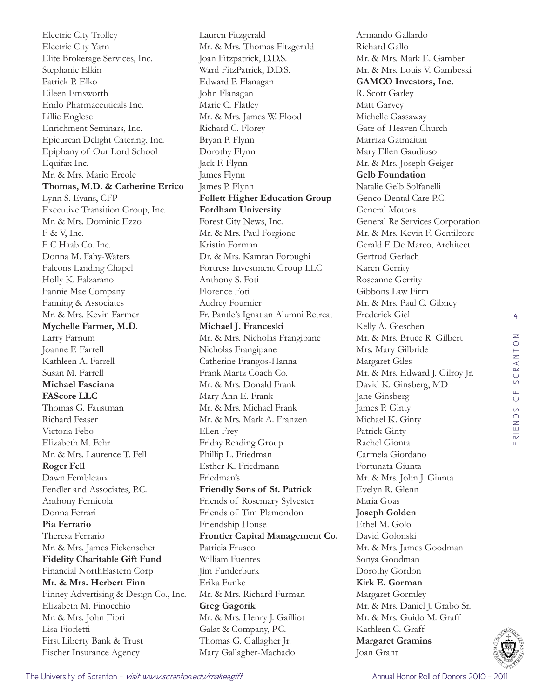Electric City Trolley Electric City Yarn Elite Brokerage Services, Inc. Stephanie Elkin Patrick P. Elko Eileen Emsworth Endo Pharmaceuticals Inc. Lillie Englese Enrichment Seminars, Inc. Epicurean Delight Catering, Inc. Epiphany of Our Lord School Equifax Inc. Mr. & Mrs. Mario Ercole **Thomas, M.D. & Catherine Errico** Lynn S. Evans, CFP Executive Transition Group, Inc. Mr. & Mrs. Dominic Ezzo F & V, Inc. F C Haab Co. Inc. Donna M. Fahy-Waters Falcons Landing Chapel Holly K. Falzarano Fannie Mae Company Fanning & Associates Mr. & Mrs. Kevin Farmer **Mychelle Farmer, M.D.**  Larry Farnum Joanne F. Farrell Kathleen A. Farrell Susan M. Farrell **Michael Fasciana FAScore LLC**  Thomas G. Faustman Richard Feaser Victoria Febo Elizabeth M. Fehr Mr. & Mrs. Laurence T. Fell **Roger Fell**  Dawn Fembleaux Fendler and Associates, P.C. Anthony Fernicola Donna Ferrari **Pia Ferrario**  Theresa Ferrario Mr. & Mrs. James Fickenscher **Fidelity Charitable Gift Fund**  Financial NorthEastern Corp **Mr. & Mrs. Herbert Finn**  Finney Advertising & Design Co., Inc. Elizabeth M. Finocchio Mr. & Mrs. John Fiori Lisa Fiorletti First Liberty Bank & Trust Fischer Insurance Agency

Lauren Fitzgerald Mr. & Mrs. Thomas Fitzgerald Joan Fitzpatrick, D.D.S. Ward FitzPatrick, D.D.S. Edward P. Flanagan John Flanagan Marie C. Flatley Mr. & Mrs. James W. Flood Richard C. Florey Bryan P. Flynn Dorothy Flynn Jack F. Flynn James Flynn James P. Flynn **Follett Higher Education Group Fordham University**  Forest City News, Inc. Mr. & Mrs. Paul Forgione Kristin Forman Dr. & Mrs. Kamran Foroughi Fortress Investment Group LLC Anthony S. Foti Florence Foti Audrey Fournier Fr. Pantle's Ignatian Alumni Retreat **Michael J. Franceski**  Mr. & Mrs. Nicholas Frangipane Nicholas Frangipane Catherine Frangos-Hanna Frank Martz Coach Co. Mr. & Mrs. Donald Frank Mary Ann E. Frank Mr. & Mrs. Michael Frank Mr. & Mrs. Mark A. Franzen Ellen Frey Friday Reading Group Phillip L. Friedman Esther K. Friedmann Friedman's **Friendly Sons of St. Patrick**  Friends of Rosemary Sylvester Friends of Tim Plamondon Friendship House **Frontier Capital Management Co.**  Patricia Frusco William Fuentes Jim Funderburk Erika Funke Mr. & Mrs. Richard Furman **Greg Gagorik**  Mr. & Mrs. Henry J. Gailliot Galat & Company, P.C. Thomas G. Gallagher Jr. Mary Gallagher-Machado

Armando Gallardo Richard Gallo Mr. & Mrs. Mark E. Gamber Mr. & Mrs. Louis V. Gambeski **GAMCO Investors, Inc.**  R. Scott Garley Matt Garvey Michelle Gassaway Gate of Heaven Church Marriza Gatmaitan Mary Ellen Gaudiuso Mr. & Mrs. Joseph Geiger **Gelb Foundation**  Natalie Gelb Solfanelli Genco Dental Care P.C. General Motors General Re Services Corporation Mr. & Mrs. Kevin F. Gentilcore Gerald F. De Marco, Architect Gertrud Gerlach Karen Gerrity Roseanne Gerrity Gibbons Law Firm Mr. & Mrs. Paul C. Gibney Frederick Giel Kelly A. Gieschen Mr. & Mrs. Bruce R. Gilbert Mrs. Mary Gilbride Margaret Giles Mr. & Mrs. Edward J. Gilroy Jr. David K. Ginsberg, MD Jane Ginsberg James P. Ginty Michael K. Ginty Patrick Ginty Rachel Gionta Carmela Giordano Fortunata Giunta Mr. & Mrs. John J. Giunta Evelyn R. Glenn Maria Goas **Joseph Golden**  Ethel M. Golo David Golonski Mr. & Mrs. James Goodman Sonya Goodman Dorothy Gordon **Kirk E. Gorman**  Margaret Gormley Mr. & Mrs. Daniel J. Grabo Sr. Mr. & Mrs. Guido M. Graff Kathleen C. Graff **Margaret Gramins**  Joan Grant

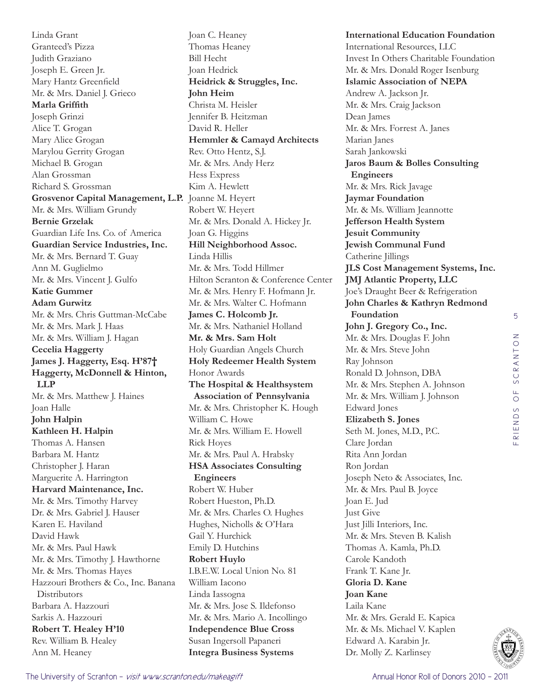Linda Grant Granteed's Pizza Judith Graziano Joseph E. Green Jr. Mary Hantz Greenfield Mr. & Mrs. Daniel J. Grieco **Marla Griffith**  Joseph Grinzi Alice T. Grogan Mary Alice Grogan Marylou Gerrity Grogan Michael B. Grogan Alan Grossman Richard S. Grossman **Grosvenor Capital Management, L.P.**  Joanne M. Heyert Mr. & Mrs. William Grundy **Bernie Grzelak**  Guardian Life Ins. Co. of America **Guardian Service Industries, Inc.**  Mr. & Mrs. Bernard T. Guay Ann M. Guglielmo Mr. & Mrs. Vincent J. Gulfo **Katie Gummer Adam Gurwitz**  Mr. & Mrs. Chris Guttman-McCabe Mr. & Mrs. Mark J. Haas Mr. & Mrs. William J. Hagan **Cecelia Haggerty James J. Haggerty, Esq. H'87† Haggerty, McDonnell & Hinton, LLP**  Mr. & Mrs. Matthew J. Haines Joan Halle **John Halpin Kathleen H. Halpin**  Thomas A. Hansen Barbara M. Hantz Christopher J. Haran Marguerite A. Harrington **Harvard Maintenance, Inc.**  Mr. & Mrs. Timothy Harvey Dr. & Mrs. Gabriel J. Hauser Karen E. Haviland David Hawk Mr. & Mrs. Paul Hawk Mr. & Mrs. Timothy J. Hawthorne Mr. & Mrs. Thomas Hayes Hazzouri Brothers & Co., Inc. Banana **Distributors** Barbara A. Hazzouri Sarkis A. Hazzouri **Robert T. Healey H'10** Rev. William B. Healey Ann M. Heaney

Joan C. Heaney Thomas Heaney Bill Hecht Joan Hedrick **Heidrick & Struggles, Inc. John Heim**  Christa M. Heisler Jennifer B. Heitzman David R. Heller **Hemmler & Camayd Architects**  Rev. Otto Hentz, S.J. Mr. & Mrs. Andy Herz Hess Express Kim A. Hewlett Robert W. Heyert Mr. & Mrs. Donald A. Hickey Jr. Joan G. Higgins **Hill Neighborhood Assoc.**  Linda Hillis Mr. & Mrs. Todd Hillmer Hilton Scranton & Conference Center Mr. & Mrs. Henry F. Hofmann Jr. Mr. & Mrs. Walter C. Hofmann **James C. Holcomb Jr.**  Mr. & Mrs. Nathaniel Holland **Mr. & Mrs. Sam Holt**  Holy Guardian Angels Church **Holy Redeemer Health System**  Honor Awards **The Hospital & Healthsystem Association of Pennsylvania**  Mr. & Mrs. Christopher K. Hough William C. Howe Mr. & Mrs. William E. Howell Rick Hoyes Mr. & Mrs. Paul A. Hrabsky **HSA Associates Consulting Engineers**  Robert W. Huber Robert Hueston, Ph.D. Mr. & Mrs. Charles O. Hughes Hughes, Nicholls & O'Hara Gail Y. Hurchick Emily D. Hutchins **Robert Huylo**  I.B.E.W. Local Union No. 81 William Iacono Linda Iassogna Mr. & Mrs. Jose S. Ildefonso Mr. & Mrs. Mario A. Incollingo **Independence Blue Cross**  Susan Ingersoll Papaneri **Integra Business Systems** 

**International Education Foundation**  International Resources, LLC Invest In Others Charitable Foundation Mr. & Mrs. Donald Roger Isenburg **Islamic Association of NEPA**  Andrew A. Jackson Jr. Mr. & Mrs. Craig Jackson Dean James Mr. & Mrs. Forrest A. Janes Marian Janes Sarah Jankowski **Jaros Baum & Bolles Consulting Engineers**  Mr. & Mrs. Rick Javage **Jaymar Foundation**  Mr. & Ms. William Jeannotte **Jefferson Health System Jesuit Community Jewish Communal Fund**  Catherine Jillings **JLS Cost Management Systems, Inc. JMJ Atlantic Property, LLC**  Joe's Draught Beer & Refrigeration **John Charles & Kathryn Redmond Foundation John J. Gregory Co., Inc.**  Mr. & Mrs. Douglas F. John Mr. & Mrs. Steve John Ray Johnson Ronald D. Johnson, DBA Mr. & Mrs. Stephen A. Johnson Mr. & Mrs. William J. Johnson Edward Jones **Elizabeth S. Jones**  Seth M. Jones, M.D., P.C. Clare Jordan Rita Ann Jordan Ron Jordan Joseph Neto & Associates, Inc. Mr. & Mrs. Paul B. Joyce Joan E. Jud Just Give Just Jilli Interiors, Inc. Mr. & Mrs. Steven B. Kalish Thomas A. Kamla, Ph.D. Carole Kandoth Frank T. Kane Jr. **Gloria D. Kane Joan Kane**  Laila Kane Mr. & Mrs. Gerald E. Kapica Mr. & Ms. Michael V. Kaplen Edward A. Karabin Jr. Dr. Molly Z. Karlinsey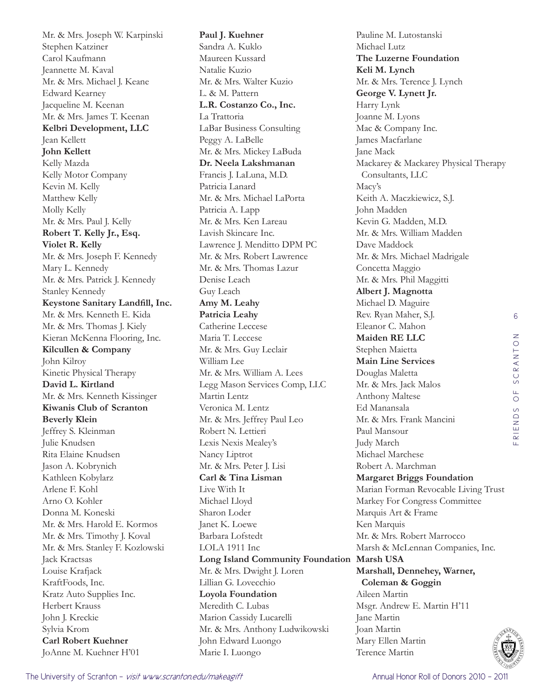Mr. & Mrs. Joseph W. Karpinski Stephen Katziner Carol Kaufmann Jeannette M. Kaval Mr. & Mrs. Michael J. Keane Edward Kearney Jacqueline M. Keenan Mr. & Mrs. James T. Keenan **Kelbri Development, LLC**  Jean Kellett **John Kellett**  Kelly Mazda Kelly Motor Company Kevin M. Kelly Matthew Kelly Molly Kelly Mr. & Mrs. Paul J. Kelly **Robert T. Kelly Jr., Esq. Violet R. Kelly**  Mr. & Mrs. Joseph F. Kennedy Mary L. Kennedy Mr. & Mrs. Patrick J. Kennedy Stanley Kennedy **Keystone Sanitary Landfill, Inc.**  Mr. & Mrs. Kenneth E. Kida Mr. & Mrs. Thomas J. Kiely Kieran McKenna Flooring, Inc. **Kilcullen & Company**  John Kilroy Kinetic Physical Therapy **David L. Kirtland**  Mr. & Mrs. Kenneth Kissinger **Kiwanis Club of Scranton Beverly Klein**  Jeffrey S. Kleinman Julie Knudsen Rita Elaine Knudsen Jason A. Kobrynich Kathleen Kobylarz Arlene F. Kohl Arno O. Kohler Donna M. Koneski Mr. & Mrs. Harold E. Kormos Mr. & Mrs. Timothy J. Koval Mr. & Mrs. Stanley F. Kozlowski Jack Kractsas Louise Krafjack KraftFoods, Inc. Kratz Auto Supplies Inc. Herbert Krauss John J. Kreckie Sylvia Krom **Carl Robert Kuehner**  JoAnne M. Kuehner H'01

**Paul J. Kuehner**  Sandra A. Kuklo Maureen Kussard Natalie Kuzio Mr. & Mrs. Walter Kuzio L. & M. Pattern **L.R. Costanzo Co., Inc.**  La Trattoria LaBar Business Consulting Peggy A. LaBelle Mr. & Mrs. Mickey LaBuda **Dr. Neela Lakshmanan**  Francis J. LaLuna, M.D. Patricia Lanard Mr. & Mrs. Michael LaPorta Patricia A. Lapp Mr. & Mrs. Ken Lareau Lavish Skincare Inc. Lawrence J. Menditto DPM PC Mr. & Mrs. Robert Lawrence Mr. & Mrs. Thomas Lazur Denise Leach Guy Leach **Amy M. Leahy Patricia Leahy**  Catherine Leccese Maria T. Leccese Mr. & Mrs. Guy Leclair William Lee Mr. & Mrs. William A. Lees Legg Mason Services Comp, LLC Martin Lentz Veronica M. Lentz Mr. & Mrs. Jeffrey Paul Leo Robert N. Lettieri Lexis Nexis Mealey's Nancy Liptrot Mr. & Mrs. Peter J. Lisi **Carl & Tina Lisman** Live With It Michael Lloyd Sharon Loder Janet K. Loewe Barbara Lofstedt LOLA 1911 Inc **Long Island Community Foundation Marsh USA**  Mr. & Mrs. Dwight J. Loren Lillian G. Lovecchio **Loyola Foundation**  Meredith C. Lubas Marion Cassidy Lucarelli Mr. & Mrs. Anthony Ludwikowski John Edward Luongo Marie I. Luongo

Pauline M. Lutostanski Michael Lutz **The Luzerne Foundation Keli M. Lynch**  Mr. & Mrs. Terence J. Lynch **George V. Lynett Jr.**  Harry Lynk Joanne M. Lyons Mac & Company Inc. James Macfarlane Jane Mack Mackarey & Mackarey Physical Therapy Consultants, LLC Macy's Keith A. Maczkiewicz, S.J. John Madden Kevin G. Madden, M.D. Mr. & Mrs. William Madden Dave Maddock Mr. & Mrs. Michael Madrigale Concetta Maggio Mr. & Mrs. Phil Maggitti **Albert J. Magnotta**  Michael D. Maguire Rev. Ryan Maher, S.J. Eleanor C. Mahon **Maiden RE LLC**  Stephen Maietta **Main Line Services**  Douglas Maletta Mr. & Mrs. Jack Malos Anthony Maltese Ed Manansala Mr. & Mrs. Frank Mancini Paul Mansour Judy March Michael Marchese Robert A. Marchman **Margaret Briggs Foundation**  Marian Forman Revocable Living Trust Markey For Congress Committee Marquis Art & Frame Ken Marquis Mr. & Mrs. Robert Marrocco Marsh & McLennan Companies, Inc. **Marshall, Dennehey, Warner, Coleman & Goggin**  Aileen Martin Msgr. Andrew E. Martin H'11 Jane Martin Joan Martin Mary Ellen Martin Terence Martin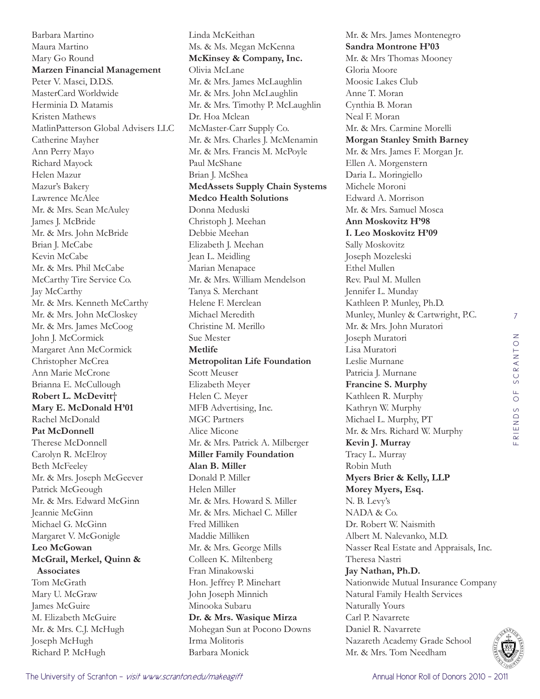Barbara Martino Maura Martino Mary Go Round **Marzen Financial Management**  Peter V. Masci, D.D.S. MasterCard Worldwide Herminia D. Matamis Kristen Mathews MatlinPatterson Global Advisers LLC Catherine Mayher Ann Perry Mayo Richard Mayock Helen Mazur Mazur's Bakery Lawrence McAlee Mr. & Mrs. Sean McAuley James J. McBride Mr. & Mrs. John McBride Brian J. McCabe Kevin McCabe Mr. & Mrs. Phil McCabe McCarthy Tire Service Co. Jay McCarthy Mr. & Mrs. Kenneth McCarthy Mr. & Mrs. John McCloskey Mr. & Mrs. James McCoog John J. McCormick Margaret Ann McCormick Christopher McCrea Ann Marie McCrone Brianna E. McCullough **Robert L. McDevitt**† **Mary E. McDonald H'01** Rachel McDonald **Pat McDonnell**  Therese McDonnell Carolyn R. McElroy Beth McFeeley Mr. & Mrs. Joseph McGeever Patrick McGeough Mr. & Mrs. Edward McGinn Jeannie McGinn Michael G. McGinn Margaret V. McGonigle **Leo McGowan McGrail, Merkel, Quinn & Associates**  Tom McGrath Mary U. McGraw James McGuire M. Elizabeth McGuire Mr. & Mrs. C.J. McHugh Joseph McHugh Richard P. McHugh

Linda McKeithan Ms. & Ms. Megan McKenna **McKinsey & Company, Inc.**  Olivia McLane Mr. & Mrs. James McLaughlin Mr. & Mrs. John McLaughlin Mr. & Mrs. Timothy P. McLaughlin Dr. Hoa Mclean McMaster-Carr Supply Co. Mr. & Mrs. Charles J. McMenamin Mr. & Mrs. Francis M. McPoyle Paul McShane Brian J. McShea **MedAssets Supply Chain Systems Medco Health Solutions**  Donna Meduski Christoph J. Meehan Debbie Meehan Elizabeth J. Meehan Jean L. Meidling Marian Menapace Mr. & Mrs. William Mendelson Tanya S. Merchant Helene F. Merclean Michael Meredith Christine M. Merillo Sue Mester **Metlife Metropolitan Life Foundation**  Scott Meuser Elizabeth Meyer Helen C. Meyer MFB Advertising, Inc. MGC Partners Alice Micone Mr. & Mrs. Patrick A. Milberger **Miller Family Foundation Alan B. Miller**  Donald P. Miller Helen Miller Mr. & Mrs. Howard S. Miller Mr. & Mrs. Michael C. Miller Fred Milliken Maddie Milliken Mr. & Mrs. George Mills Colleen K. Miltenberg Fran Minakowski Hon. Jeffrey P. Minehart John Joseph Minnich Minooka Subaru **Dr. & Mrs. Wasique Mirza**  Mohegan Sun at Pocono Downs Irma Molitoris Barbara Monick

Mr. & Mrs. James Montenegro **Sandra Montrone H'03** Mr. & Mrs Thomas Mooney Gloria Moore Moosic Lakes Club Anne T. Moran Cynthia B. Moran Neal F. Moran Mr. & Mrs. Carmine Morelli **Morgan Stanley Smith Barney**  Mr. & Mrs. James F. Morgan Jr. Ellen A. Morgenstern Daria L. Moringiello Michele Moroni Edward A. Morrison Mr. & Mrs. Samuel Mosca **Ann Moskovitz H'98 I. Leo Moskovitz H'09** Sally Moskovitz Joseph Mozeleski Ethel Mullen Rev. Paul M. Mullen Jennifer L. Munday Kathleen P. Munley, Ph.D. Munley, Munley & Cartwright, P.C. Mr. & Mrs. John Muratori Joseph Muratori Lisa Muratori Leslie Murnane Patricia J. Murnane **Francine S. Murphy**  Kathleen R. Murphy Kathryn W. Murphy Michael L. Murphy, PT Mr. & Mrs. Richard W. Murphy **Kevin J. Murray**  Tracy L. Murray Robin Muth **Myers Brier & Kelly, LLP Morey Myers, Esq.**  N. B. Levy's NADA & Co. Dr. Robert W. Naismith Albert M. Nalevanko, M.D. Nasser Real Estate and Appraisals, Inc. Theresa Nastri **Jay Nathan, Ph.D.**  Nationwide Mutual Insurance Company Natural Family Health Services Naturally Yours Carl P. Navarrete Daniel R. Navarrete Nazareth Academy Grade School Mr. & Mrs. Tom Needham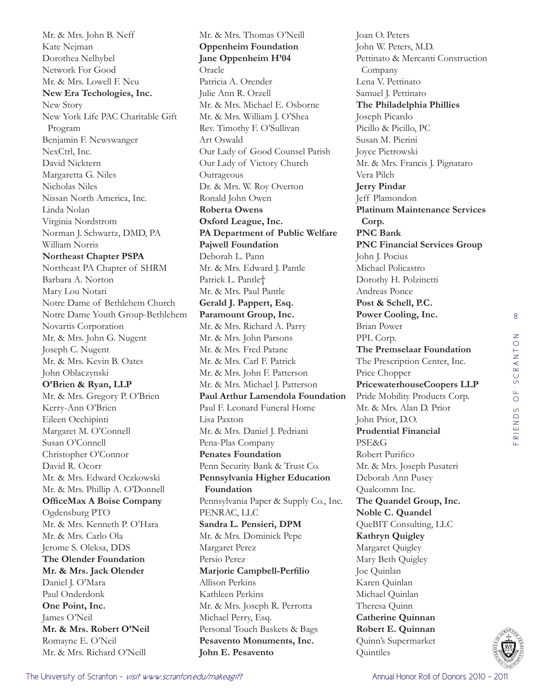Mr. & Mrs. John B. Neff Kate Nejman Dorothea Nelhybel Network For Good Mr. & Mrs. Lowell F. Neu **New Era Techologies, Inc.**  New Story New York Life PAC Charitable Gift Program Benjamin F. Newswanger NexCtrl, Inc. David Nicktern Margaretta G. Niles Nicholas Niles Nissan North America, Inc. Linda Nolan Virginia Nordstrom Norman J. Schwartz, DMD, PA William Norris **Northeast Chapter PSPA**  Northeast PA Chapter of SHRM Barbara A. Norton Mary Lou Notari Notre Dame of Bethlehem Church Notre Dame Youth Group-Bethlehem Novartis Corporation Mr. & Mrs. John G. Nugent Joseph C. Nugent Mr. & Mrs. Kevin B. Oates John Oblaczynski **O'Brien & Ryan, LLP**  Mr. & Mrs. Gregory P. O'Brien Kerry-Ann O'Brien Eileen Occhipinti Margaret M. O'Connell Susan O'Connell Christopher O'Connor David R. Ocorr Mr. & Mrs. Edward Oczkowski Mr. & Mrs. Phillip A. O'Donnell **OfficeMax A Boise Company**  Ogdensburg PTO Mr. & Mrs. Kenneth P. O'Hara Mr. & Mrs. Carlo Ola Jerome S. Oleksa, DDS **The Olender Foundation Mr. & Mrs. Jack Olender**  Daniel J. O'Mara Paul Onderdonk **One Point, Inc.**  James O'Neil **Mr. & Mrs. Robert O'Neil**  Romayne E. O'Neil Mr. & Mrs. Richard O'Neill

Mr. & Mrs. Thomas O'Neill **Oppenheim Foundation Jane Oppenheim H'04** Oracle Patricia A. Orender Julie Ann R. Orzell Mr. & Mrs. Michael E. Osborne Mr. & Mrs. William J. O'Shea Rev. Timothy F. O'Sullivan Art Oswald Our Lady of Good Counsel Parish Our Lady of Victory Church **Outrageous** Dr. & Mrs. W. Roy Overton Ronald John Owen **Roberta Owens Oxford League, Inc. PA Department of Public Welfare Pajwell Foundation**  Deborah L. Pann Mr. & Mrs. Edward J. Pantle Patrick L. Pantle† Mr. & Mrs. Paul Pantle **Gerald J. Pappert, Esq. Paramount Group, Inc.**  Mr. & Mrs. Richard A. Parry Mr. & Mrs. John Parsons Mr. & Mrs. Fred Patane Mr. & Mrs. Carl F. Patrick Mr. & Mrs. John F. Patterson Mr. & Mrs. Michael J. Patterson **Paul Arthur Lamendola Foundation**  Paul F. Leonard Funeral Home Lisa Paxton Mr. & Mrs. Daniel J. Pedriani Pena-Plas Company **Penates Foundation**  Penn Security Bank & Trust Co. **Pennsylvania Higher Education Foundation**  Pennsylvania Paper & Supply Co., Inc. PENRAC, LLC **Sandra L. Pensieri, DPM**  Mr. & Mrs. Dominick Pepe Margaret Perez Persio Perez **Marjorie Campbell-Perfilio** Allison Perkins Kathleen Perkins Mr. & Mrs. Joseph R. Perrotta Michael Perry, Esq. Personal Touch Baskets & Bags **Pesavento Monuments, Inc. John E. Pesavento** 

Joan O. Peters John W. Peters, M.D. Pettinato & Mercanti Construction Company Lena V. Pettinato Samuel J. Pettinato **The Philadelphia Phillies**  Joseph Picardo Picillo & Picillo, PC Susan M. Pierini Joyce Pietrowski Mr. & Mrs. Francis J. Pignataro Vera Pilch **Jerry Pindar**  Jeff Plamondon **Platinum Maintenance Services Corp. PNC Bank PNC Financial Services Group**  John J. Pocius Michael Policastro Dorothy H. Polzinetti Andreas Ponce **Post & Schell, P.C. Power Cooling, Inc.**  Brian Power PPL Corp. **The Premselaar Foundation**  The Prescription Center, Inc. Price Chopper **PricewaterhouseCoopers LLP**  Pride Mobility Products Corp. Mr. & Mrs. Alan D. Prior John Prior, D.O. **Prudential Financial**  PSE&G Robert Purifico Mr. & Mrs. Joseph Pusateri Deborah Ann Pusey Qualcomm Inc. **The Quandel Group, Inc. Noble C. Quandel**  QueBIT Consulting, LLC **Kathryn Quigley**  Margaret Quigley Mary Beth Quigley Joe Quinlan Karen Quinlan Michael Quinlan Theresa Quinn **Catherine Quinnan Robert E. Quinnan**  Quinn's Supermarket **Ouintiles** 

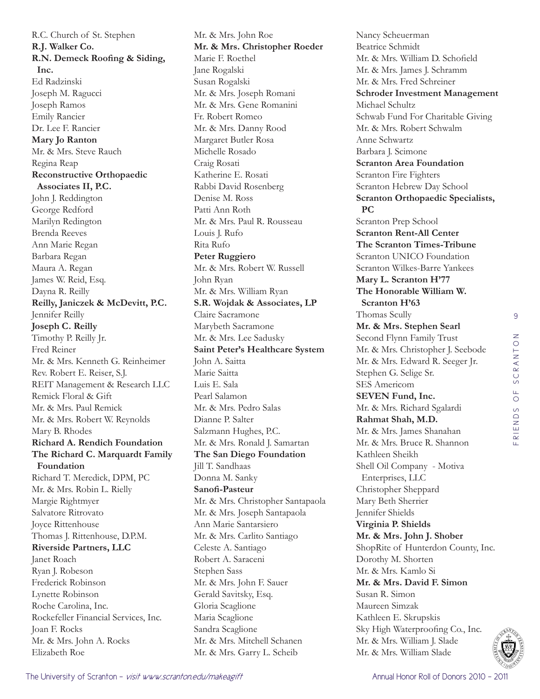R.C. Church of St. Stephen **R.J. Walker Co. R.N. Demeck Roofing & Siding, Inc.**  Ed Radzinski Joseph M. Ragucci Joseph Ramos Emily Rancier Dr. Lee F. Rancier **Mary Jo Ranton**  Mr. & Mrs. Steve Rauch Regina Reap **Reconstructive Orthopaedic Associates II, P.C.**  John J. Reddington George Redford Marilyn Redington Brenda Reeves Ann Marie Regan Barbara Regan Maura A. Regan James W. Reid, Esq. Dayna R. Reilly **Reilly, Janiczek & McDevitt, P.C.**  Jennifer Reilly **Joseph C. Reilly**  Timothy P. Reilly Jr. Fred Reiner Mr. & Mrs. Kenneth G. Reinheimer Rev. Robert E. Reiser, S.J. REIT Management & Research LLC Remick Floral & Gift Mr. & Mrs. Paul Remick Mr. & Mrs. Robert W. Reynolds Mary B. Rhodes **Richard A. Rendich Foundation The Richard C. Marquardt Family Foundation**  Richard T. Meredick, DPM, PC Mr. & Mrs. Robin L. Rielly Margie Rightmyer Salvatore Ritrovato Joyce Rittenhouse Thomas J. Rittenhouse, D.P.M. **Riverside Partners, LLC**  Janet Roach Ryan J. Robeson Frederick Robinson Lynette Robinson Roche Carolina, Inc. Rockefeller Financial Services, Inc. Joan F. Rocks Mr. & Mrs. John A. Rocks Elizabeth Roe

Mr. & Mrs. John Roe **Mr. & Mrs. Christopher Roeder**  Marie F. Roethel Jane Rogalski Susan Rogalski Mr. & Mrs. Joseph Romani Mr. & Mrs. Gene Romanini Fr. Robert Romeo Mr. & Mrs. Danny Rood Margaret Butler Rosa Michelle Rosado Craig Rosati Katherine E. Rosati Rabbi David Rosenberg Denise M. Ross Patti Ann Roth Mr. & Mrs. Paul R. Rousseau Louis J. Rufo Rita Rufo **Peter Ruggiero**  Mr. & Mrs. Robert W. Russell John Ryan Mr. & Mrs. William Ryan **S.R. Wojdak & Associates, LP**  Claire Sacramone Marybeth Sacramone Mr. & Mrs. Lee Sadusky **Saint Peter's Healthcare System**  John A. Saitta Marie Saitta Luis E. Sala Pearl Salamon Mr. & Mrs. Pedro Salas Dianne P. Salter Salzmann Hughes, P.C. Mr. & Mrs. Ronald J. Samartan **The San Diego Foundation**  Jill T. Sandhaas Donna M. Sanky **Sanofi-Pasteur**  Mr. & Mrs. Christopher Santapaola Mr. & Mrs. Joseph Santapaola Ann Marie Santarsiero Mr. & Mrs. Carlito Santiago Celeste A. Santiago Robert A. Saraceni Stephen Sass Mr. & Mrs. John F. Sauer Gerald Savitsky, Esq. Gloria Scaglione Maria Scaglione Sandra Scaglione Mr. & Mrs. Mitchell Schanen Mr. & Mrs. Garry L. Scheib

Nancy Scheuerman Beatrice Schmidt Mr. & Mrs. William D. Schofield Mr. & Mrs. James J. Schramm Mr. & Mrs. Fred Schreiner **Schroder Investment Management**  Michael Schultz Schwab Fund For Charitable Giving Mr. & Mrs. Robert Schwalm Anne Schwartz Barbara J. Scimone **Scranton Area Foundation**  Scranton Fire Fighters Scranton Hebrew Day School **Scranton Orthopaedic Specialists, PC**  Scranton Prep School **Scranton Rent-All Center The Scranton Times-Tribune**  Scranton UNICO Foundation Scranton Wilkes-Barre Yankees **Mary L. Scranton H'77 The Honorable William W. Scranton H'63** Thomas Scully **Mr. & Mrs. Stephen Searl**  Second Flynn Family Trust Mr. & Mrs. Christopher J. Seebode Mr. & Mrs. Edward R. Seeger Jr. Stephen G. Selige Sr. SES Americom **SEVEN Fund, Inc.**  Mr. & Mrs. Richard Sgalardi **Rahmat Shah, M.D.**  Mr. & Mrs. James Shanahan Mr. & Mrs. Bruce R. Shannon Kathleen Sheikh Shell Oil Company - Motiva Enterprises, LLC Christopher Sheppard Mary Beth Sherrier Jennifer Shields **Virginia P. Shields Mr. & Mrs. John J. Shober**  ShopRite of Hunterdon County, Inc. Dorothy M. Shorten Mr. & Mrs. Kamlo Si **Mr. & Mrs. David F. Simon**  Susan R. Simon Maureen Simzak Kathleen E. Skrupskis Sky High Waterproofing Co., Inc. Mr. & Mrs. William J. Slade Mr. & Mrs. William Slade

The University of Scranton - *visit www.scranton.edu/makeagift* Annual Honor Roll of Donors 2010 - 2011 - 2011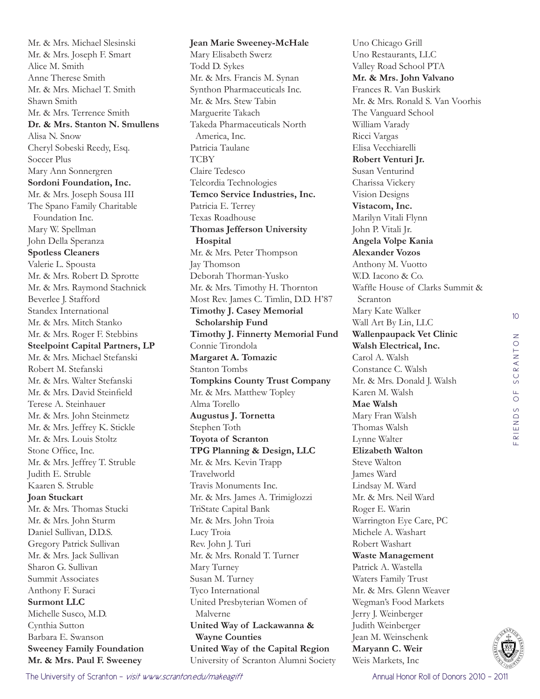Mr. & Mrs. Michael Slesinski Mr. & Mrs. Joseph F. Smart Alice M. Smith Anne Therese Smith Mr. & Mrs. Michael T. Smith Shawn Smith Mr. & Mrs. Terrence Smith **Dr. & Mrs. Stanton N. Smullens**  Alisa N. Snow Cheryl Sobeski Reedy, Esq. Soccer Plus Mary Ann Sonnergren **Sordoni Foundation, Inc.**  Mr. & Mrs. Joseph Sousa III The Spano Family Charitable Foundation Inc. Mary W. Spellman John Della Speranza **Spotless Cleaners**  Valerie L. Spousta Mr. & Mrs. Robert D. Sprotte Mr. & Mrs. Raymond Stachnick Beverlee J. Stafford Standex International Mr. & Mrs. Mitch Stanko Mr. & Mrs. Roger F. Stebbins **Steelpoint Capital Partners, LP**  Mr. & Mrs. Michael Stefanski Robert M. Stefanski Mr. & Mrs. Walter Stefanski Mr. & Mrs. David Steinfield Terese A. Steinhauer Mr. & Mrs. John Steinmetz Mr. & Mrs. Jeffrey K. Stickle Mr. & Mrs. Louis Stoltz Stone Office, Inc. Mr. & Mrs. Jeffrey T. Struble Judith E. Struble Kaaren S. Struble **Joan Stuckart**  Mr. & Mrs. Thomas Stucki Mr. & Mrs. John Sturm Daniel Sullivan, D.D.S. Gregory Patrick Sullivan Mr. & Mrs. Jack Sullivan Sharon G. Sullivan Summit Associates Anthony F. Suraci **Surmont LLC**  Michelle Susco, M.D. Cynthia Sutton Barbara E. Swanson **Sweeney Family Foundation Mr. & Mrs. Paul F. Sweeney** 

**Jean Marie Sweeney-McHale**  Mary Elisabeth Swerz Todd D. Sykes Mr. & Mrs. Francis M. Synan Synthon Pharmaceuticals Inc. Mr. & Mrs. Stew Tabin Marguerite Takach Takeda Pharmaceuticals North America, Inc. Patricia Taulane **TCBY** Claire Tedesco Telcordia Technologies **Temco Service Industries, Inc.**  Patricia E. Terrey Texas Roadhouse **Thomas Jefferson University Hospital**  Mr. & Mrs. Peter Thompson Jay Thomson Deborah Thorman-Yusko Mr. & Mrs. Timothy H. Thornton Most Rev. James C. Timlin, D.D. H'87 **Timothy J. Casey Memorial Scholarship Fund Timothy J. Finnerty Memorial Fund**  Connie Tirondola **Margaret A. Tomazic**  Stanton Tombs **Tompkins County Trust Company**  Mr. & Mrs. Matthew Topley Alma Torello **Augustus J. Tornetta**  Stephen Toth **Toyota of Scranton TPG Planning & Design, LLC**  Mr. & Mrs. Kevin Trapp Travelworld Travis Monuments Inc. Mr. & Mrs. James A. Trimiglozzi TriState Capital Bank Mr. & Mrs. John Troia Lucy Troia Rev. John J. Turi Mr. & Mrs. Ronald T. Turner Mary Turney Susan M. Turney Tyco International United Presbyterian Women of Malverne **United Way of Lackawanna & Wayne Counties United Way of the Capital Region**  University of Scranton Alumni Society

Uno Chicago Grill Uno Restaurants, LLC Valley Road School PTA **Mr. & Mrs. John Valvano**  Frances R. Van Buskirk Mr. & Mrs. Ronald S. Van Voorhis The Vanguard School William Varady Ricci Vargas Elisa Vecchiarelli **Robert Venturi Jr.**  Susan Venturind Charissa Vickery Vision Designs **Vistacom, Inc.**  Marilyn Vitali Flynn John P. Vitali Jr. **Angela Volpe Kania Alexander Vozos**  Anthony M. Vuotto W.D. Iacono & Co. Waffle House of Clarks Summit & Scranton Mary Kate Walker Wall Art By Lin, LLC **Wallenpaupack Vet Clinic Walsh Electrical, Inc.**  Carol A. Walsh Constance C. Walsh Mr. & Mrs. Donald J. Walsh Karen M. Walsh **Mae Walsh**  Mary Fran Walsh Thomas Walsh Lynne Walter **Elizabeth Walton**  Steve Walton James Ward Lindsay M. Ward Mr. & Mrs. Neil Ward Roger E. Warin Warrington Eye Care, PC Michele A. Washart Robert Washart **Waste Management**  Patrick A. Wastella Waters Family Trust Mr. & Mrs. Glenn Weaver Wegman's Food Markets Jerry J. Weinberger Judith Weinberger Jean M. Weinschenk **Maryann C. Weir**  Weis Markets, Inc